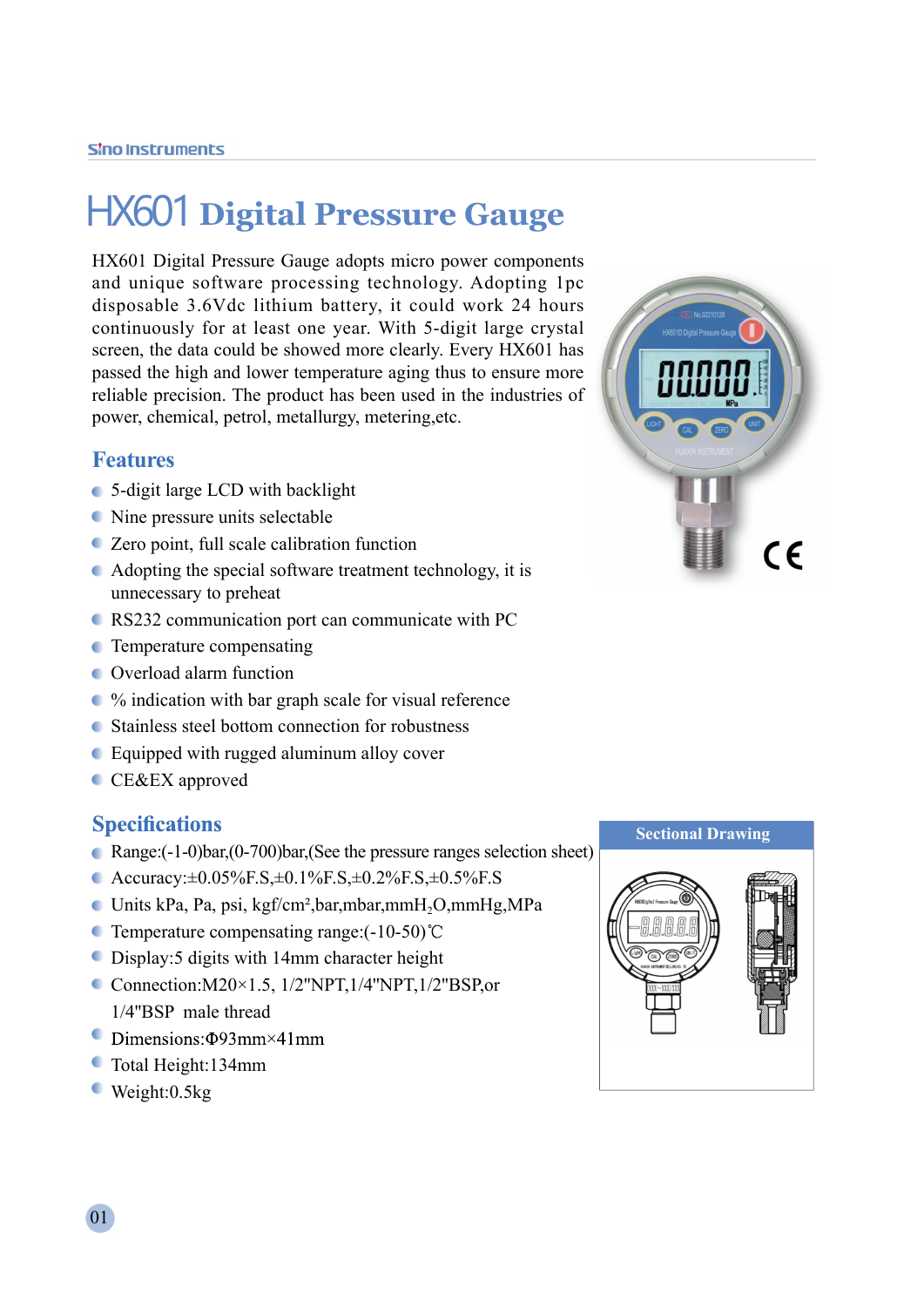# HX601 **Digital Pressure Gauge**

HX601 Digital Pressure Gauge adopts micro power components and unique software processing technology. Adopting 1pc disposable 3.6Vdc lithium battery, it could work 24 hours continuously for at least one year. With 5-digit large crystal screen, the data could be showed more clearly. Every HX601 has passed the high and lower temperature aging thus to ensure more reliable precision. The product has been used in the industries of power, chemical, petrol, metallurgy, metering,etc.

### **Features**

- 5-digit large LCD with backlight
- Nine pressure units selectable
- Zero point, full scale calibration function
- Adopting the special software treatment technology, it is unnecessary to preheat
- RS232 communication port can communicate with PC
- **C** Temperature compensating
- Overload alarm function
- % indication with bar graph scale for visual reference
- Stainless steel bottom connection for robustness
- Equipped with rugged aluminum alloy cover
- **CE&EX** approved

### **Specifications**

- Range:(-1-0)bar,(0-700)bar,(See the pressure ranges selection sheet)
- Accuracy:±0.05%F.S,±0.1%F.S,±0.2%F.S,±0.5%F.S
- Units kPa, Pa, psi, kgf/cm²,bar,mbar,mmH2O,mmHg,MPa
- **C** Temperature compensating range: $(-10-50)$ °C
- Display:5 digits with 14mm character height
- Connection: $M20\times1.5$ ,  $1/2$ "NPT,  $1/4$ "NPT,  $1/2$ "BSP, or 1/4''BSP male thread
- $\bullet$  Dimensions:  $\Phi$ 93mm×41mm
- Total Height:134mm
- Weight:0.5kg



#### **Sectional Drawing**